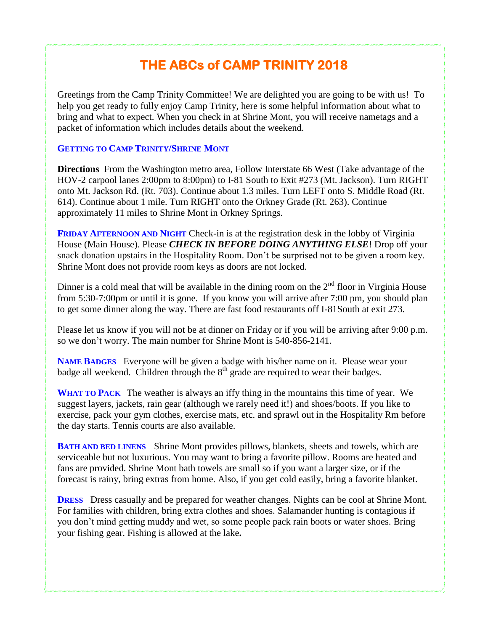## **THE ABCs of CAMP TRINITY 2018**

Greetings from the Camp Trinity Committee! We are delighted you are going to be with us! To help you get ready to fully enjoy Camp Trinity, here is some helpful information about what to bring and what to expect. When you check in at Shrine Mont, you will receive nametags and a packet of information which includes details about the weekend.

## **GETTING TO CAMP TRINITY/SHRINE MONT**

**Directions** From the Washington metro area, Follow Interstate 66 West (Take advantage of the HOV-2 carpool lanes 2:00pm to 8:00pm) to I-81 South to Exit #273 (Mt. Jackson). Turn RIGHT onto Mt. Jackson Rd. (Rt. 703). Continue about 1.3 miles. Turn LEFT onto S. Middle Road (Rt. 614). Continue about 1 mile. Turn RIGHT onto the Orkney Grade (Rt. 263). Continue approximately 11 miles to Shrine Mont in Orkney Springs.

**FRIDAY AFTERNOON AND NIGHT** Check-in is at the registration desk in the lobby of Virginia House (Main House). Please *CHECK IN BEFORE DOING ANYTHING ELSE*! Drop off your snack donation upstairs in the Hospitality Room. Don't be surprised not to be given a room key. Shrine Mont does not provide room keys as doors are not locked.

Dinner is a cold meal that will be available in the dining room on the  $2<sup>nd</sup>$  floor in Virginia House from 5:30-7:00pm or until it is gone. If you know you will arrive after 7:00 pm, you should plan to get some dinner along the way. There are fast food restaurants off I-81South at exit 273.

Please let us know if you will not be at dinner on Friday or if you will be arriving after 9:00 p.m. so we don't worry. The main number for Shrine Mont is 540-856-2141.

**NAME BADGES** Everyone will be given a badge with his/her name on it. Please wear your badge all weekend. Children through the  $8<sup>th</sup>$  grade are required to wear their badges.

**WHAT TO PACK** The weather is always an iffy thing in the mountains this time of year. We suggest layers, jackets, rain gear (although we rarely need it!) and shoes/boots. If you like to exercise, pack your gym clothes, exercise mats, etc. and sprawl out in the Hospitality Rm before the day starts. Tennis courts are also available.

**BATH AND BED LINENS** Shrine Mont provides pillows, blankets, sheets and towels, which are serviceable but not luxurious. You may want to bring a favorite pillow. Rooms are heated and fans are provided. Shrine Mont bath towels are small so if you want a larger size, or if the forecast is rainy, bring extras from home. Also, if you get cold easily, bring a favorite blanket.

**DRESS** Dress casually and be prepared for weather changes. Nights can be cool at Shrine Mont. For families with children, bring extra clothes and shoes. Salamander hunting is contagious if you don't mind getting muddy and wet, so some people pack rain boots or water shoes. Bring your fishing gear. Fishing is allowed at the lake**.**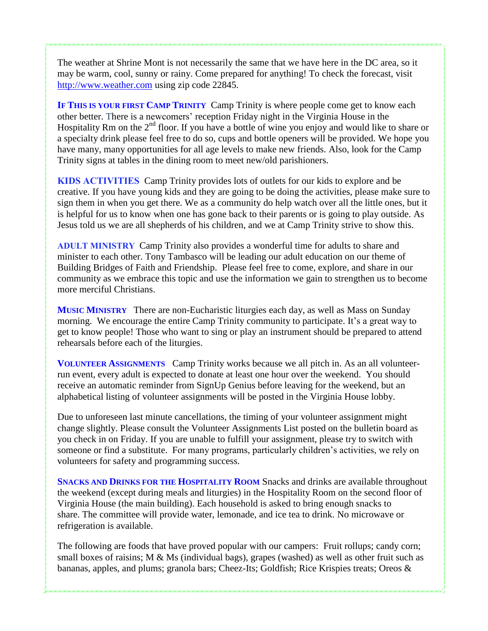The weather at Shrine Mont is not necessarily the same that we have here in the DC area, so it may be warm, cool, sunny or rainy. Come prepared for anything! To check the forecast, visit [http://www.weather.com](http://www.weather.com/) using zip code 22845.

**IF THIS IS YOUR FIRST CAMP TRINITY** Camp Trinity is where people come get to know each other better. There is a newcomers' reception Friday night in the Virginia House in the Hospitality Rm on the 2<sup>nd</sup> floor. If you have a bottle of wine you enjoy and would like to share or a specialty drink please feel free to do so, cups and bottle openers will be provided. We hope you have many, many opportunities for all age levels to make new friends. Also, look for the Camp Trinity signs at tables in the dining room to meet new/old parishioners.

**KIDS ACTIVITIES** Camp Trinity provides lots of outlets for our kids to explore and be creative. If you have young kids and they are going to be doing the activities, please make sure to sign them in when you get there. We as a community do help watch over all the little ones, but it is helpful for us to know when one has gone back to their parents or is going to play outside. As Jesus told us we are all shepherds of his children, and we at Camp Trinity strive to show this.

**ADULT MINISTRY** Camp Trinity also provides a wonderful time for adults to share and minister to each other. Tony Tambasco will be leading our adult education on our theme of Building Bridges of Faith and Friendship. Please feel free to come, explore, and share in our community as we embrace this topic and use the information we gain to strengthen us to become more merciful Christians.

**MUSIC MINISTRY** There are non-Eucharistic liturgies each day, as well as Mass on Sunday morning. We encourage the entire Camp Trinity community to participate. It's a great way to get to know people! Those who want to sing or play an instrument should be prepared to attend rehearsals before each of the liturgies.

**VOLUNTEER ASSIGNMENTS** Camp Trinity works because we all pitch in. As an all volunteerrun event, every adult is expected to donate at least one hour over the weekend. You should receive an automatic reminder from SignUp Genius before leaving for the weekend, but an alphabetical listing of volunteer assignments will be posted in the Virginia House lobby.

Due to unforeseen last minute cancellations, the timing of your volunteer assignment might change slightly. Please consult the Volunteer Assignments List posted on the bulletin board as you check in on Friday. If you are unable to fulfill your assignment, please try to switch with someone or find a substitute. For many programs, particularly children's activities, we rely on volunteers for safety and programming success.

**SNACKS AND DRINKS FOR THE HOSPITALITY ROOM** Snacks and drinks are available throughout the weekend (except during meals and liturgies) in the Hospitality Room on the second floor of Virginia House (the main building). Each household is asked to bring enough snacks to share. The committee will provide water, lemonade, and ice tea to drink. No microwave or refrigeration is available.

The following are foods that have proved popular with our campers: Fruit rollups; candy corn; small boxes of raisins; M & Ms (individual bags), grapes (washed) as well as other fruit such as bananas, apples, and plums; granola bars; Cheez-Its; Goldfish; Rice Krispies treats; Oreos &